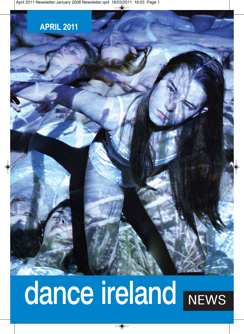### **APRIL 2011**

# dance ireland NEWS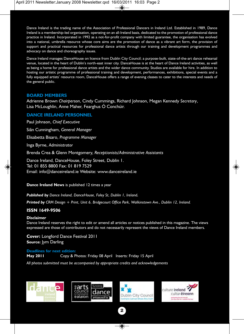Dance Ireland is the trading name of the Association of Professional Dancers in Ireland Ltd. Established in 1989, Dance Ireland is a membership-led organisation, operating on an all-Ireland basis, dedicated to the promotion of professional dance practice in Ireland. Incorporated in 1992 as a not-for-profit company with limited guarantee, the organisation has evolved into a national, umbrella resource whose core aims are the promotion of dance as a vibrant art form, the provision of support and practical resources for professional dance artists through our training and development programmes and advocacy on dance and choreography issues.

Dance Ireland manages DanceHouse on licence from Dublin City Council; a purpose-built, state-of-the-art dance rehearsal venue, located in the heart of Dublin's north-east inner city. DanceHouse is at the heart of Dance Ireland activities, as well as being a home for professional dance artists and the wider dance community. Studios are available for hire. In addition to hosting our artistic programme of professional training and development, performances, exhibitions, special events and a fully equipped artists' resource room, DanceHouse offers a range of evening classes to cater to the interests and needs of the general public.

#### **BOARD MEMBERS**

Adrienne Brown *Chairperson*, Cindy Cummings, Richard Johnson, Megan Kennedy *Secretary*, Lisa McLoughlin, Anne Maher, Fearghus Ó Conchúir.

#### **DANCE IRELAND PERSONNEL**

Paul Johnson, *Chief Executive*

Siân Cunningham, *General Manager* 

Elisabetta Bisaro, *Programme Manager* 

Inga Byrne, *Administrator* 

Brenda Crea & Glenn Montgomery, *Receptionists/Administrative Assistants* 

Dance Ireland, DanceHouse, Foley Street, Dublin 1. Tel: 01 855 8800 Fax: 01 819 7529 Email: info@danceireland.ie Website: www.danceireland.ie

**Dance Ireland News** is published 12 times a year

*Published by Dance Ireland, DanceHouse, Foley St, Dublin 1, Ireland.*

*Printed by CRM Design + Print, Unit 6, Bridgecourt Office Park, Walkinstown Ave., Dublin 12, Ireland.*

#### **ISSN 1649-9506**

#### **Disclaimer**

Dance Ireland reserves the right to edit or amend all articles or notices published in this magazine. The views expressed are those of contributors and do not necessarily represent the views of Dance Ireland members.

**Cover:** Longford Dance Festival 2011 **Source:** Jym Darling

#### **Deadlines for next edition:**

**May 2011** Copy & Photos: Friday 08 April Inserts: Friday 15 April

*All photos submitted must be accompanied by appropriate credits and acknowledgements*







**2**

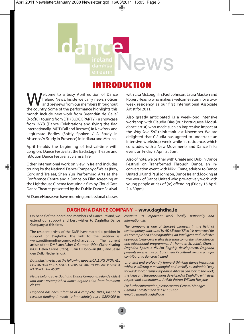# News

#### INTRODUCTION

Welcome to a busy April edition of Dance Ireland News. Inside we carry news, notices and previews from our members throughout the country. Some of the performance highlights this month include new work from Breandán de Gallaí (Noctú), touring from DTI (BLOCK PARTY!), a showcase from INYB (Dance Celebration) and flying the flag internationally IMDT (Fall and Recover) in New York and Legitimate Bodies (Softly Spoken / A Study in Absence/A Study in Presence) in Indiana and Mexico.

April heralds the beginning of festival-time with Longford Dance Festival at the Backstage Theatre and nMotion Dance Festival at Siamsa Tíre.

Other international work on view in Ireland includes touring by the National Dance Company of Wales (Bray, Cork and Tralee), Shen Yun Performing Arts at the Conference Centre and a Dance on Film screening at the Lighthouse Cinema featuring a film by Cloud Gate Dance Theatre, presented by the Dublin Dance Festival. with Lisa McLoughlin, Paul Johnson, Laura Macken and Robert Heaslip who makes a welcome return for a twoweek residency as our first International Associate Artist for 2011.

Also greatly anticipated, is a week-long intensive workshop with Cláudia Dias (our Portuguese Moduldance artist) who made such an impressive impact at the *Why Solo So?* think tank last November. We are delighted that Cláudia has agreed to undertake an intensive workshop week while in residence, which concludes with a New Movements and Dance Talks event on Friday 8 April at 5pm.

Also of note, we partner with Create and Dublin Dance Festival on Transformed Through Dance, an inconversation event with Nikki Crane, advisor to Dance United UK and Paul Johnson, Dance Ireland, looking at the work of Dance United who pro-actively work with young people at risk of (re) offending (Friday 15 April,  $2 - 4.30$ pm).

At DanceHouse, we have morning professional classes

#### **DAGHDHA DANCE COMPANY – www.daghdha.ie**

On behalf of the board and members of Dance Ireland, we extend our support and best wishes to Daghdha Dance Company at this time.

The resident artists of the DMP have started a petition in support of Daghdha. The link to the petition is: www.petitiononline.com/daghdha/petition. The current artists of the DMP are: Asher O'Gorman (ROI), Claire Keating (ROI), Helen Cerina (Italy), Ruairi O'Donovan (ROI) and Jesse den Dulk (Netherlands).

*Daghdha have issued the following appeal: CALLING UPON ALL PHILANTHROPISTS AND LOVERS OF ART IN IRELAND: SAVE A NATIONAL TREASURE*

*Please help to save Daghdha Dance Company, Ireland's oldest and most accomplished dance organisation from imminent closure.*

*Daghdha has been informed of a complete, 100%, loss of its revenue funding; it needs to immediately raise €200,000 to* *continue its important work locally, nationally and internationally.*

*The company is one of Europe's pioneers in the field of contemporary dance. Led by AD Michael Klien it is renowned for its accomplished choreographies, an intelligent and inclusive approach to dance as well as delivering comprehensive outreach and educational programmes. At home in St. John's Church, Daghdha Space, a €1.2m flagship development, Daghdha presents an essential part of Limerick's cultural life and a major contributor to dance in Ireland.*

*'…a vital and profoundly forward thinking dance institution which is offering a meaningful and socially sustainable "way forward" for contemporary dance. All of us can look to the work, the ideas and the innovations developed at Daghdha with deep respect and admiration…' Artistic Patron, William Forsythe*

*For further information, please contact General Manager, Gemma Carcaterra on 061 467 872 or email: gemma@daghdha.ie.*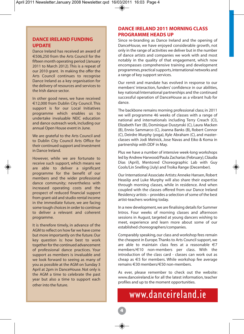#### **DANCE IRELAND FUNDING UPDATE**

Dance Ireland has received an award of €506,250 from the Arts Council for the fifteen month operating period (January 2011 to March 2012). This is a repeat of our 2010 grant. In making the offer the Arts Council continues to recognise Dance Ireland as a key organisation for the delivery of resources and services to the Irish dance sector.

In other good news, we have received €12,000 from Dublin City Council. This support is for our Local Initiatives programme which enables us to undertake invaluable NEIC education and dance outreach work, including our annual Open House event in June.

We are grateful to the Arts Council and to Dublin City Council Arts Office for their continued support and investment in Dance Ireland.

However, while we are fortunate to receive such support, which means we are able to deliver a significant programme for the benefit of our members and the wider professional dance community; nevertheless with increased operating costs and the prospect of reduced financial support from grant-aid and studio rental income in the immediate future, we are facing some tough choices in order to continue to deliver a relevant and coherent programme.

It is therefore timely, in advance of the AGM to reflect on how far we have come but more importantly on the future. Our key question is: how best to work together for the continued advancement of professional dance practices. Your support as members is invaluable and we look forward to seeing as many of you as possible at the AGM on Sunday 3 April at 2pm in DanceHouse. Not only is the AGM a time to celebrate the past year but also a time to support each other into the future.

#### **DANCE IRELAND 2011 MORNING CLASS PROGRAMME HEADS UP**

Since re-branding as Dance Ireland and the opening of DanceHouse, we have enjoyed considerable growth, not only in the range of activities we deliver but in the number of dance artists and companies we work with and most notably in the quality of that engagement, which now encompasses comprehensive training and development programmes, practical supports, international networks and a range of key support services.

Our remit and mandate has evolved in response to our members' interaction, funders' confidence in our abilities, key national/international partnerships and the continued successful operation of DanceHouse as a vibrant hub for dance.

The backbone remains morning professional class; in 2011 we will programme 46 weeks of classes with a range of national and internationals including Terry Creach (CI), Elizabeth Farr (B), Dominique Duszynski (C), Laura Macken (B), Ennio Sammarco (C), Joanna Banks (B), Robert Connor (C), Deirdre Murphy (yoga), Kyle Abraham (C), and masterclasses with Jodi Melnick, Jose Navas and Eiko & Koma in partnership with DDF in May.

Plus we have a number of intensive week-long workshops led by Andrew Harwood/Paula Zacharias (February), Cláudia Dias (April), Mentored Choreographic Lab with Guy Cools/Lin Snelling (July) and Troika Range (December).

Our International Associate Artists: Anneke Hansen, Robert Heaslip and Luke Murphy will also share their expertise through morning classes, while in residence. And when coupled with the classes offered from our Dance Ireland Residency artists – provides a selection of some of the best artist-teachers working today.

In a new development, we are finalising details for Summer Intros. Four weeks of morning classes and afternoon sessions in August, targeted at young dancers wishing to meet, experience and learn more about some of our established choreographers/companies.

Comparably speaking, our class and workshop fees remain the cheapest in Europe. Thanks to Arts Council support, we are able to maintain class fees at a reasonable  $\epsilon$ 7 members/€10 non-members per class. With the introduction of the class card - classes can work out as cheap as €5 for members. While workshop fee average remains €30 members/€50 non-members.

As ever, please remember to check out the website: www.danceireland.ie for all the latest information, teacher profiles and up to the moment opportunities.

## www.danceireland.ie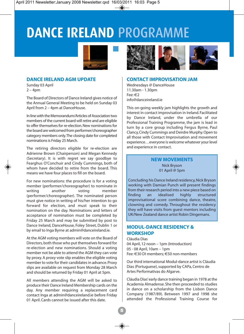# **DANCE IRELAND** PROGRAMME



#### **DANCE IRELAND AGM UPDATE**

Sunday 03 April  $2 - 4pm$ 

The Board of Directors of Dance Ireland gives notice of the Annual General Meeting to be held on Sunday 03 April from 2 – 4pm at DanceHouse.

In line with the Memorandum/Articles of Association two members of the current board will retire and are eligible to offer themselves for re-election. New nominations for the board are welcomed from performer/choreographer category members only. The closing date for completed nominations is Friday 25 March.

The retiring directors eligible for re-election are Adrienne Brown (Chairperson) and Megan Kennedy (Secretary). It is with regret we say goodbye to Fearghus O'Conchuir and Cindy Cummings, both of whom have decided to retire from the board. This means we have four places to fill on the board.

For new nominations: the procedure is for a voting member (performer/choreographer) to nominate in writing another voting member (performer/choreographer). The nominated person must give notice in writing of his/her intention to go forward for election, and must speak to their nomination on the day. Nominations and letters of acceptance of nomination must be completed by Friday 25 March and may be submitted by post to Dance Ireland, DanceHouse, Foley Street, Dublin 1 or by email to Inga Byrne at admin@danceireland.ie.

At the AGM voting members will vote on the Board of Directors, both those who put themselves forward for re-election and new nominations. Should a voting member not be able to attend the AGM they can vote by proxy. A proxy vote slip enables the eligible voting member to vote for their candidates in advance. Proxy slips are available on request from Monday 28 March and should be returned by Friday 01 April at 5pm.

All members attending the AGM will be asked to produce their Dance Ireland Membership cards on the day. Any member requiring a replacement card contact Inga at admin@danceireland.ie before Friday 01 April. Cards cannot be issued after this date.



#### **CONTACT IMPROVISATION JAM**

Wednesdays @ DanceHouse 11.30am - 1.30pm Fee: €2 info@danceireland.ie

This on-going weekly jam highlights the growth and interest in contact improvisation in Ireland. Facilitated by Dance Ireland, under the umbrella of our Professional Training Programme, the jam is lead in turn by a core group including Fergus Byrne, Paul Clancy, Cindy Cummings and Deirdre Murphy. Open to all those with Contact Improvisation and movement experience…everyone is welcome whatever your level and experience in contact.

#### **NEW MOVEMENTS** Nick Bryson 01 April @ 5pm

Concluding his Dance Ireland residency, Nick Bryson working with Damian Punch will present findings from their research period into a new piece based on<br>finding a an idealised highly structured finding an idealised highly structured improvisational score combining dance, theatre, clowning and comedy. Throughout the residency they will have visits from guest mentors including UK/New Zealand dance artist Robin Dingemans.

#### **MODUL-DANCE RESIDENCY & WORKSHOP**

Cláudia Dias 04 April, 12 noon – 1pm (Introduction) 05 - 08 April, 10am – 1pm Fee: €30 DI members; €50 non-members

Our third international Modul-dance artist is Cláudia Dias (Portuguese), supported by CAPa, Centro de Artes Performativas do Algarve.

Cláudia Dias' early dance training began in 1978 at the Academia Almadense. She then proceeded to studies in dance on a scholarship from the Lisbon Dance Company (1987/89). Between 1997 and 1998 she attended the Professional Training Course for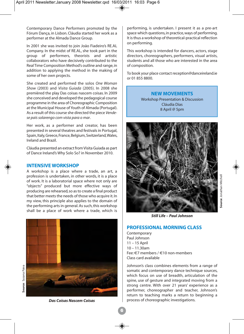Contemporary Dance Performers promoted by the Fórum Dança, in Lisbon. Cláudia started her work as a performer at the Almada Dance Group.

In 2001 she was invited to join João Fiadeiro's RE.AL Company. In the midst of RE.AL, she took part in the group of performers, theorists and artistic collaborators who have decisively contributed to the Real Time Composition Method's outline and range, in addition to applying the method in the making of some of her own projects.

She created and performed the solos *One Woman Show* (2003) and *Visita Guiada* (2005). In 2008 she premièred the play Das coisas nascem coisas. In 2009 she conceived and developed the pedagogical course programme in the area of Choreographic Composition at the Municipal House of Youth of Almada (Portugal). As a result of this course she directed the piece *Vendese país solarengo com vista para o mar*.

Her work, as a performer and creator, has been presented in several theatres and festivals in Portugal, Spain, Italy, Greece, France, Belgium, Switzerland, Wales, Ireland and Brazil.

Cláudia presented an extract from Visita Guiada as part of Dance Ireland's Why Solo So? in November 2010.

#### **INTENSIVE WORKSHOP**

A workshop is a place where a trade, an art, a profession is undertaken, in other words, it is a place of work. It is a laboratorial space where not only are "objects" produced but more effective ways of producing are rehearsed, so as to create a final product that better meets the needs of those who acquire it. In my view, this principle also applies to the domain of the performing arts in general. As such, this workshop shall be a place of work where a trade, which is



*Das Coisas Nascem Coisas*

performing, is undertaken. I present it as a pre-art space which questions, in practice, ways of performing. It is thus a workshop of theoretical-practical reflection on performing.

This workshop is intended for dancers, actors, stage directors, choreographers, performers, visual artists, students and all those who are interested in the area of composition.

To book your place contact reception@danceireland.ie or 01 855 8800.

#### **NEW MOVEMENTS**

Workshop Presentation & Discussion Cláudia Dias 8 April @ 5pm



**Source**: Jonathan Mitchell

**Source:** Jonathan Mitchell

*Still Life – Paul Johnson*

#### **PROFESSIONAL MORNING CLASS**

Contemporary Paul Johnson 11 – 15 April 10 – 11.30am Fee: €7 members / €10 non-members Class card available

Johnson's class combines elements from a range of somatic and contemporary dance technique sources, which focus on use of breadth, articulation of the spine, use of gesture and integrated moving from a strong centre. With over 21 years' experience as a performer, choreographer and teacher, Johnson's return to teaching marks a return to beginning a process of choreographic investigations.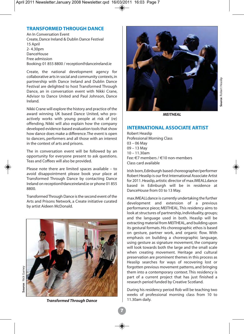#### **TRANSFORMED THROUGH DANCE**

An In Conversation Event Create, Dance Ireland & Dublin Dance Festival 15 April 2- 4.30pm DanceHouse Free admission Booking: 01 855 8800 / reception@danceireland.ie

Create, the national development agency for collaborative arts in social and community contexts, in partnership with Dance Ireland and Dublin Dance Festival are delighted to host Transformed Through Dance, an in conversation event with Nikki Crane, Advisor to Dance United and Paul Johnson, Dance Ireland.

Nikki Crane will explore the history and practice of the award winning UK based Dance United, who proactively works with young people at risk of (re) offending. Nikki will also explain how the company developed evidence-based evaluation tools that show how dance does make a difference. The event is open to dancers, performers and all those with an interest in the context of arts and prisons.

The in conversation event will be followed by an opportunity for everyone present to ask questions. Teas and Coffees will also be provided.

Please note there are limited spaces available – to avoid disappointment please book your place at Transformed Through Dance by contacting Dance Ireland on reception@danceireland.ie or phone 01 855 8800.

Transformed Through Dance is the second event of the Arts and Prisons Network, a Create initiative curated by artist Aideen McDonald.





*MEITHEAL*

#### **INTERNATIONAL ASSOCIATE ARTIST**

Robert Heaslip Professional Morning Class 03 – 06 May 09 – 13 May  $10 - 11.30$ am Fee:  $\epsilon$ 7 members /  $\epsilon$ 10 non-members Class card available

Irish born, Edinburgh based choreographer/performer Robert Heaslip is our first International Associate Artist for 2011. Heaslip, artistic director of max.IMEALLdance based in Edinburgh will be in residence at DanceHouse from 03 to 13 May.

max.IMEALLdance is currently undertaking the further development and extension of a previous performance piece; MEITHEAL. This residency aims to look at structures of partnership, individuality, groups; and the language used in both. Heaslip will be extracting material from MEITHEAL, and building upon its gestural formats. His choreographic ethos is based on gesture, partner work, and organic flow. With emphasis on building a choreographic language, using gesture as signature movement, the company will look towards both the large and the small scale when creating movement. Heritage and cultural preservation are prominent themes in this process as Heaslip searches for ways of recovering lost or forgotten previous movement patterns, and bringing them into a contemporary context. This residency is part of a current project that has just finished a research period funded by Creative Scotland.

During his residency period Rob will be teaching two weeks of professional morning class from 10 to 11.30am daily.

*Transformed Through Dance*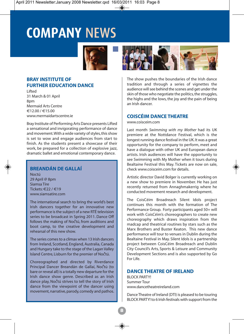# **COMPANY** NEWS



#### **BRAY INSTITUTE OF FURTHER EDUCATION DANCE**

Lifted 31 March & 01 April 8pm Mermaid Arts Centre €12.00 / €15.00 www.mermaidartscentre.ie

Bray Institute of Performing Arts Dance presents Lifted a sensational and invigorating performance of dance and movement. With a wide variety of styles, this show is set to wow and engage audiences from start to finish. As the students present a showcase of their work, be prepared for a collection of explosive jazz, dramatic ballet and emotional contemporary dance.

#### **BREANDÁN DE GALLAÍ**

Noctú 29 April @ 8pm Siamsa Tíre Tickets: $\epsilon$ 22/ $\epsilon$ 19 www.siamsatire.com

The international search to bring the world's best Irish dancers together for an innovative new performance is the subject of a new RTÉ television series to be broadcast in Spring 2011. Dance Off follows the making of Noctu, from auditions and boot camp, to the creative development and rehearsal of this new show.

The series comes to a climax when 13 Irish dancers from Ireland, Scotland, England, Australia, Canada and Hungary take to the stage of the Lagan Valley Island Centre, Lisburn for the premier of Noctú.

Choreographed and directed by Riverdance Principal Dancer Breandán de Gallaí, Noctú (to bare or reveal all) is a totally new departure for the Irish dance show genre. Described as an Irish dance play, Noctú strives to tell the story of Irish dance from the viewpoint of the dancer using movement, narrative, parody, comedy and pathos.



The show pushes the boundaries of the Irish dance tradition and through a series of vignettes the audience will see behind the scenes and get under the skin of those who negotiate the politics, the struggles, the highs and the lows, the joy and the pain of being an Irish dancer.

#### **COISCÉIM DANCE THEATRE**

#### www.coisceim.com

Last month *Swimming with my Mother* had its UK premiere at the Nottdance Festival, which is the longest running dance festival in the UK. It was a great opportunity for the company to perform, meet and have a dialogue with other UK and European dance artists. Irish audiences will have the opportunity to see Swimming with My Mother when it tours during Bealtaine Festival this May. Tickets are now on sale, check www.coisceim.com for details.

Artistic director David Bolger is currently working on a new show to premiere in November. He has just recently returned from Annaghmakerrig where he conducted movement research and development.

The CoisCéim Broadreach Silent Idols project continues this month with the formation of The Performance Group. Forty participants aged 50+ will work with CoisCéim's choreographers to create new choreography which draws inspiration from the madcap and theatrical routines by stars such as the Marx Brothers and Buster Keaton. This new dance performance will tour to venues in Dublin during the Bealtaine Festival in May. Silent Idols is a partnership project between CoisCéim Broadreach and Dublin City Council's Arts, Sports & Leisure and Community Development Sections and is also supported by Go For Life.

#### **DANCE THEATRE OF IRELAND**

BLOCK PARTY! Summer Tour www.dancetheatreireland.com

Dance Theatre of Ireland (DTI) is pleased to be touring BLOCK PARTY! to 6 Irish festivals with support from the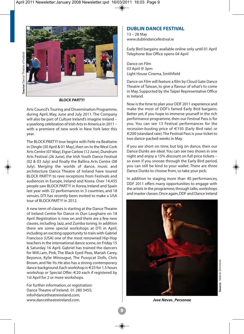

*BLOCK PARTY!*

Arts Council's Touring and Dissemination Programme, during April, May, June and July 2011. The Company will also be part of Culture Ireland's Imagine Ireland – a yearlong celebration of Irish Arts in America in 2011 – with a premiere of new work in New York later this year.

The BLOCK PARTY! tour begins with Feile na Bealtaine in Dingle (30 April & 01 May), then on to the West Cork Arts Centre (07 May), Eigse Carlow (12 June), Dundrum Arts Festival (26 June), the Irish Youth Dance Festival (02 & 03 July) and finally the Ballina Arts Centre (08 July). Merging the worlds of dance, music and architecture Dance Theatre of Ireland have toured BLOCK PARTY! to rave receptions from Festivals and audiences in Europe, Ireland and Korea. Over 14,435 people saw BLOCK PARTY! in Korea, Ireland and Spain last year with 22 performances in 3 countries, and 18 venues. DTI has recently been invited to make a USA tour of BLOCK PARTY! in 2012.

A new term of classes is starting at the Dance Theatre of Ireland Centre for Dance in Dun Laoghaire on 18 April. Registration is now on and there are a few new classes, including Jazz, and Zumba toning. In addition there are some special workshops at DTI in April, including an exciting opportunity to train with Gabriel Francisco (USA) one of the most renowned Hip-Hop teachers in the international dance scene, on Friday 15 & Saturday 16 April. Gabriel has trained the dancers for Will.i.am, Pink, The Black Eyed Peas, Mariah Carey, Beyonce, Kylie Minougue, The Pussycat Dolls, Chris Brown, and Ne-Yo. He also has a strong contemporary dance background. Each workshop is €25 for 1.5 hours workshop or Special Offer: €20 each if registered by 1st April for 2 or more workshops.

For further information, or registration: Dance Theatre of Ireland: 01 280 3455; info@dancetheatreireland.com; www.dancetheatreireland.com.

#### **DUBLIN DANCE FESTIVAL**

13 – 28 May www.dublindancefestival.ie

Early Bird bargains available online only until 01 April Telephone Box Office opens 04 April

Dance on Film 03 April @ 3pm Light House Cinema, Smithfield

Dance on Film will feature a film by Cloud Gate Dance Theatre of Taiwan, to give a flavour of what's to come in May. Supported by the Taipei Representative Office in Ireland.

Now is the time to plan your DDF 2011 experience and make the most of DDF's famed Early Bird bargains. Better yet, if you hope to immerse yourself in the rich performance programme, then our Festival Pass is for you. You can see 13 Festival performances for the recession-busting price of €150 (Early Bird rate) or €200 (standard rate). The Festival Pass is your ticket to two dance-packed weeks in May.

If you are short on time, but big on dance, then our Dance Dunks are ideal. You can see two shows in one night and enjoy a 15% discount on full price tickets – so even if you snooze through the Early Bird period, you can still be kind to your wallet. There are three Dance Dunks to choose from, so take your pick.

In addition to staging more than 40 performances, DDF 2011 offers many opportunities to engage with the artists in the programme, through talks, workshops and master classes. Once again, DDF and Dance Ireland



*Jose Navas\_Personae*

**9**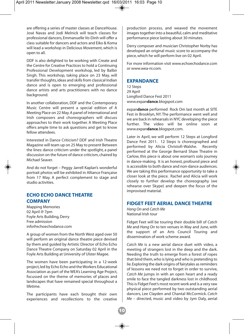are offering a series of master classes at DanceHouse. José Navas and Jodi Melnick will teach classes for professional dancers, Emmanuelle Vo-Dinh will offer a class suitable for dancers and actors and Eiko & Koma will lead a workshop in Delicious Movement, which is open to all.

DDF is also delighted to be working with Create and the Centre for Creative Practices to hold a Continuing Professional Development workshop, led by Balbir Singh. This workshop, taking place on 23 May, will transfer thoughts, ideas and skills from classical Indian dance and is open to emerging and professional dance artists and arts practitioners with no dance background.

In another collaboration, DDF and the Contemporary Music Centre will present a special edition of A Meeting Place on 22 May. A panel of international and Irish composers and choreographers will discuss approaches to their work together. A Meeting Place offers ample time to ask questions and get to know fellow attendees.

Interested in Dance Criticism? DDF and Irish Theatre Magazine will team up on 25 May to present Between the lines: dance criticism under the spotlight, a panel discussion on the future of dance criticism, chaired by Michael Seaver.

And do not forget – Peggy Jarrell Kaplan's wonderful portrait photos will be exhibited in Alliance Française from 17 May. A perfect complement to stage and studio activities.

#### **ECHO ECHO DANCE THEATRE COMPANY**

Mapping Memories 02 April @ 7pm Foyle Arts Building, Derry Free admission info@echoechodance.com

A group of women from the North West aged over 50 will perform an original dance theatre piece devised by them and guided by Artistic Director of Echo Echo Dance Theatre Company on Saturday 02 April in the Foyle Arts Building at University of Ulster Magee.

The women have been participating in a 12-week project, led by Echo Echo and the Workers Educational Association as part of the WEA's Learning Age Project, focussed on the theme of memories of places and landscapes that have remained special throughout a lifetime.

The participants have each brought their own experiences and recollections to the creative

production process, and weaved the movement images together into a beautiful, calm and meditative performance piece lasting about 30 minutes.

Derry composer and musician Christopher Norby has developed an original music score to accompany the piece, which he will perform live on 02 April.

For more information visit www.echoechodance.com or www.wea-ni.com.

#### **EXPANDANCE**

12 Steps 29 April Longford Dance Fest 2011 www.expan**dance**.blogspot.com

expan**dance** performed Rock Om last month at SITE Fest in Brooklyn, NY. The performance went well and we are back in rehearsals in NYC developing the piece further. The video will be online soon at www.expan**dance**.blogspot.com.

Later in April, we will perform 12 Steps at Longford Dance Fest 2011. 12 Steps is choreographed and performed by Alicia Christofi-Walshe. Recently performed at the George Bernard Shaw Theatre in Carlow, this piece is about one woman's solo journey in dance-making. It is an honest, profound piece and is accessible to both dance and non-dance audiences. We are taking this performance opportunity to take a closer look at the piece. Rachel and Alicia will work closely to further develop the choreography (we rehearse over Skype) and deepen the focus of the improvised material.

#### **FIDGET FEET AERIAL DANCE THEATRE**

*Hang On* and *Catch Me*  National Irish tour

Fidget Feet will be touring their double bill of *Catch Me* and *Hang On* to ten venues in May and June, with the support of an Arts Council Touring and dissemination of work scheme award.

*Catch Me* is a new aerial dance duet with video, a meeting of strangers lost in the deep and the dark. Needing the truth to emerge from a forest of ropes that bind them, who is lying and who is pretending to lie. Exploring the dark origins of fairytales as reminders of lessons we need not to forget in order to survive, *Catch Me* jumps in with an open heart and a ready smile to face the tangled darkness lost in childhood. This is Fidget Feet's most recent work and is a very raw physical piece performed by two outstanding aerial dancers, Lee Clayden and Chantal McCormick. *Catch Me* – directed, music and video by Jym Daly, aerial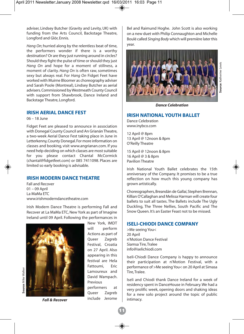adviser, Lindsey Butcher (Gravity and Levity, UK) with funding from the Arts Council, Backstage Theatre, Longford and Glór, Ennis.

*Hang On*; hurried along by the relentless beat of time, the performers wonder if there is a worthy destination? Or are they just running around in circles? Should they fight the pulse of time or should they just *Hang On* and hope for a moment of stillness, a moment of clarity. *Hang On* is often raw, sometimes sexy but always real. For *Hang On* Fidget Feet have worked with Muirne Bloomer as choreography adviser and Sarah Poole (Montreal), Lindsey Butcher as aerial advisers. Commissioned by Westmeath County Council with support from Shawbrook, Dance Ireland and Backstage Theatre, Longford.

#### **IRISH AERIAL DANCE FEST**

06 – 18 June

Fidget Feet are pleased to announce in association with Donegal County Council and An Grianán Theatre, a two-week Aerial Dance Fest taking place in June in Letterkenny, County Donegal. For more information on classes and booking, visit www.angrianan.com. If you need help deciding on which classes are most suitable for you please contact Chantal McCormick (chantal@fidgetfeet.com) or 085 7411098. Places are limited so early booking is advisable.

#### **IRISH MODERN DANCE THEATRE**

Fall and Recover 01 – 09 April La MaMa ETC www.irishmoderndancetheatre.com

Irish Modern Dance Theatre is performing Fall and Recover at La MaMa ETC, New York as part of Imagine Ireland until 09 April. Following the performances in



New York, IMDT will perform Actions as part of Queer Zagreb Festival, Croatia on 27 April. Also appearing in this festival are Hela Fattoumi, Eric Lamoureux and David Wampach. Previous performers at Queer Zagreb include Jerome *Fall & Recover* include Jerome intimacy.

**11**

Bel and Raimund Hoghe. John Scott is also working on a new duet with Philip Connaughton and Michelle Boulé called *Singing Body* which will première later this year.



#### *Dance Celebration*

#### **IRISH NATIONAL YOUTH BALLET**

Dance Celebration www.inybco.com

12 April @ 8pm 13 April @ 12noon & 8pm O'Reilly Theatre

15 April @ 12noon & 8pm 16 April @ 3 & 8pm Pavilion Theatre

Irish National Youth Ballet celebrates the 15th anniversary of the Company. It promises to be a true reflection on how much this young company has grown artistically.

Choreographers, Breandán de Gallaí, Stephen Brennan, Killian O'Callaghan and Melissa Harman will create four ballets to suit all tastes. The Ballets include The Ugly Duckling, The Three Nellies, South Pacific and The Snow Queen. It's an Easter Feast not to be missed.

#### **ISELI-CHIODI DANCE COMPANY**

>Me seeing You< 20 April n'Motion Dance Festival Siamsa Tire, Tralee info@iselichiodi.com

Iseli-Chiodi Dance Company is happy to announce their participation at n'Motion Festival, with a performance of >Me seeing You< on 20 April at Simasa Tire, Tralee.

Iseli and Chiodi thank Dance Ireland for a week of residency spent in DanceHouse in February. We had a very prolific week, opening doors and shaking ideas for a new solo project around the topic of public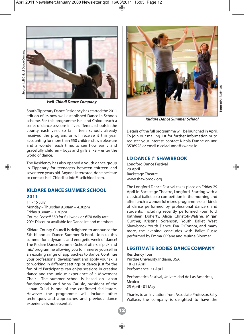

*Iseli-Chiodi Dance Company*

South Tipperary Dance Residency has started the 2011 edition of its now well established Dance in Schools scheme. For this programme Iseli and Chiodi teach a series of dance sessions in five different schools in the county each year. So far, fifteen schools already received the program, or will receive it this year, accounting for more than 550 children. It is a pleasure and a wonder each time, to see how easily and gracefully children - boys and girls alike – enter the world of dance.

The Residency has also opened a youth dance group in Tipperary for teenagers between thirteen and seventeen years old. Anyone interested, don't hesitate to contact Iseli-Chiodi at info@iselichiodi.com.

#### **KILDARE DANCE SUMMER SCHOOL 2011**

11 - 15 July Monday – Thursday 9.30am – 4.30pm Friday 9.30am – 1.30pm Course Fees: €350 for full week or €70 daily rate 20% Discount available for Dance Ireland members

Kildare County Council is delighted to announce the 5th bi-annual Dance Summer School. Join us this summer for a dynamic and energetic week of dance! The Kildare Dance Summer School offers a 'pick and mix' programme allowing you to immerse yourself in an exciting range of approaches to dance. Continue your professional development and apply your skills to working in different settings or dance just for the fun of it! Participants can enjoy sessions in creative dance and the unique experience of a Movement Choir. The summer school is based on Laban fundamentals, and Anna Carlisle, president of the Laban Guild is one of the confirmed facilitators. However the programme will include other techniques and approaches and previous dance experience is not essential.



*Kildare Dance Summer School*

Details of the full programme will be launched in April. To join our mailing list for further information or to register your interest, contact Nicola Dunne on 086 3536928 or email nicoladunne@kwaras.ie.

#### **LD DANCE @ SHAWBROOK**

Longford Dance Festival 29 April Backstage Theatre www.shawbrook.org

The Longford Dance Festival takes place on Friday 29 April in Backstage Theatre, Longford. Starting with a classical ballet solo competition in the morning and after lunch a wonderful mixed programme of all kinds of dance performed by professional dancers and students, including recently performed Four Told, Kathleen Doherty, Alicia Christofi-Walshe, Mirjan Gurtner, Kristina Sorenson, Youth Ballet West, Shawbrook Youth Dance, Eva O'Connor, and many more, the evening concludes with Ballet Russe performed by Emma O'Kane and Muirne Bloomer.

#### **LEGITIMATE BODIES DANCE COMPANY**

Residency Tour Purdue University, Indiana, USA 18 -21 April Performance: 21 April

Performatica Festival, Universidad de Las Americas, Mexico 25 April - 01 May

Thanks to an invitation from Associate Professor, Sally Wallace, the company is delighted to have the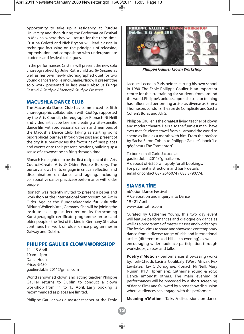opportunity to take up a residency at Purdue University and then during the Performatica Festival in Mexico, where they will return for the third time. Cristina Goletti and Nick Bryson will lead classes in technique focussing on the principals of releasing, improvisation and composition with undergraduate students and festival colleagues.

In the performances, Cristina will present the new solo choreographed by Julie Rothschild *Softly Spoken* as well as her own newly choreographed duet for two young dancers Mollie and Charlie. Nick will present the solo work presented in last year's Absolut Fringe Festival *A Study in Absence/A Study in Presence*.

#### **MACUSHLA DANCE CLUB**

The Macushla Dance Club has commenced its fifth choreographic collaboration with Ciotóg. Supported by the Arts Council, choreographer Ríonach Ní Néill and video artist Joe Lee are creating a site-specific dance film with professional dancers and members of the Macushla Dance Club. Taking as starting point biographical journeys through the past and present of the city, it superimposes the footprint of past places and events onto their present locations, building up a sense of a townscape shifting through time.

Ríonach is delighted to be the first recipient of the Arts Council/Create Arts & Older People Bursary. The bursary allows her to engage in critical reflection and dissemination on dance and ageing, including collaborative dance practice & performance with older people.

Ríonach was recently invited to present a paper and workshop at the International Symposium on Art in Older Age at the Bundesakademie für kulturelle Bildung,Wolfenbüttel, Germany. She will be joining the institute as a guest lecturer on its forthcoming Kunstgeragogik certificate programme on art and older people - the first of its kind in Germany. She also continues her work on older dance programmes in Galway and Dublin.

#### **PHILIPPE GAULIER CLOWN WORKSHOP**

11 - 15 April 10am - 4pm DanceHouse Price: €430 gaulierdublin2011@gmail.com

World renowned clown and acting teacher Philippe Gaulier returns to Dublin to conduct a clown workshop from 11 to 15 April. Early booking is recommended as places are limited.

Philippe Gaulier was a master teacher at the Ecole



*Philippe Gaulier Clown Workshop*

Jacques Lecoq in Paris before starting his own school in 1980. The Ecole Philippe Gaulier is an important centre for theatre training for students from around the world. Philippe's unique approach to actor training has influenced performing artists as diverse as Emma Thompson, London's Theatre de Complicite and Sacha Cohen's Borat and Ali G.

Philippe Gaulier is the greatest living teacher of clown and modern theatre. He is also the funniest man I have ever met. Students travel from all around the world to spend as little as a month with him. From the preface by Sacha Baron Cohen to Philippe Gaulier's book "Le gégèneur (The Tormentor)"

To book email Carlo Jacucci at gaulierdublin2011@gmail.com. A deposit of  $\in$  200 will apply for all bookings. For payment instructions and bank details, email or contact 087 2645074 / 083 3790774.

#### **SIAMSA TÍRE**

nMotion Dance Festival A Celebration and inquiry into Dance 19 - 21 April www.siamsatire.com

Curated by Catherine Young, this two day event will feature performances and dialogue on dance as well as a programme of master classes and workshops. The festival aims to share and showcase contemporary dance from a diverse range of Irish and international artists (different mixed bill each evening) as well as encouraging wider audience participation through workshops, classes and talks.

**Poetry n'Motion** - performances showcasing works by: Iseli-Chiodi, Lacina Coulibaly (West Africa), Rex Levitates, Liv O'Donoghue, Ríonach Ní Néill, Mary Nunan, KYDT (premiere), Catherine Young & YoCo Dance amongst others. The main evening of performances will be preceded by a short screening of dance films and followed by a post show discussion where audiences can engage with the performers.

**Meaning n'Motion** - Talks & discussions on dance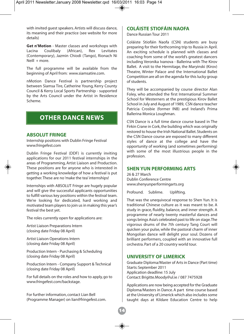with invited guest speakers. Artists will discuss dance, its meaning and their practice (see website for more details)

**Get n'Motion** - Master classes and workshops with Lacina Coulibaly (African). Rex Levitates Lacina Coulibaly (Contemporary), Jazmin Chiodi (Tango), Rionach Ni Neill + more.

The full programme will be available from the beginning of April from: www.siamsatire.com.

nMotion Dance Festival is partnership project between Siamsa Tire, Catherine Young, Kerry County Council & Kerry Local Sports Partnership - supported by the Arts Council under the Artist in Residence Scheme.

#### **OTHER DANCE NEWS**

#### **ABSOLUT FRINGE**

Internship positions with Dublin Fringe Festival www.fringefest.com

Dublin Fringe Festival (DDF) is currently inviting applications for our 2011 festival internships in the areas of Programming, Artist Liaison and Production. These positions are for anyone who is interested in getting a working knowledge of how a festival is put together. These are no 'make the tea' internships!

Internships with ABSOLUT Fringe are hugely popular and will give the successful applicants opportunities to fulfill various key positions within the festival team. We're looking for dedicated, hard working and motivated team players to join us in making this year's festival the best yet.

The roles currently open for applications are:

Artist Liaison Preparations Intern (closing date Friday 08 April)

Artist Liaison Operations Intern (closing date Friday 08 April)

Production Intern - Purchasing & Scheduling (closing date Friday 08 April)

Production Intern - Company Support & Technical (closing date Friday 08 April)

For full details on the roles and how to apply, go to www.fringefest.com/backstage.

For further information, contact Lian Bell (Programme Manager) on lian@fringefest.com.

#### **COLÁISTE STIOFÁIN NAOFA**

Dance Russian Tour 2011

Coláiste Stiofáin Naofa (CSN) students are busy preparing for their forthcoming trip to Russia in April. An exciting schedule is planned with classes and coaching from some of the world's greatest dancers including Veronika Ivanova - Ballerina with The Kirov Ballet. A visit to the Hermitage, the Maryinski (Kirov) Theatre, Winter Palace and the International Ballet Competition are all on the agenda for this lucky group of students.

They will be accompanied by course director Alan Foley, who attended the first International Summer School for Westerners at the prestigious Kirov Ballet School in July and August of 1989, CSN dance teacher Patricia Crosbie (former INB) and Ireland's Prima Ballerina Monica Loughman.

CSN Dance is a full time dance course based in The Firkin Crane in Cork, the building which was originally restored to house the Irish National Ballet. Students on the CSN Dance course are exposed to many different styles of dance at the college and have the opportunity of working (and sometimes performing) with some of the most illustrious people in the profession.

#### **SHEN YUN PERFORMING ARTS**

26 & 27 March Dublin Conference Centre www.shenyunperformingarts.org

Profound. Sublime. Uplifting.

That was the unequivocal response to Shen Yun. It is traditional Chinese culture as it was meant to be. A study in grace, fluidity, balance, and inner strength. A programme of nearly twenty masterful dances and songs brings Asia's celebrated past to life on stage. The vigorous drums of the 7th century Tang Court will quicken your pulse, while the pastoral charm of inner Mongolian dance will delight your soul. Dozens of brilliant performers, coupled with an innovative full orchestra. Part of a 20 country world tour.

#### **UNIVERSITY OF LIMERICK**

Graduate Diploma/Master of Arts in Dance (Part time) Starts: September 2011 Application deadline: 15 July Contact: Brigitte.Moody@ul.ie / 087 7475928

Applications are now being accepted for the Graduate Diploma/Masters in Dance. A part time course based at the University of Limerick which also includes some taught days at Kildare Education Centre to help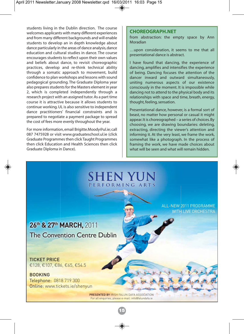students living in the Dublin direction. The course welcomes applicants with many different experiences and from many different backgrounds and will enable students to develop an in depth knowledge about dance particularly in the areas of dance analysis, dance education and cultural studies in dance. The course encourages students to reflect upon their own values and beliefs about dance, to revisit choreographic practices, develop and re-think technical ability through a somatic approach to movement, build confidence to plan workshops and lessons with sound pedagogical grounding. The Graduate Diploma year also prepares students for the Masters element in year 2, which is completed independently through a research project with an assigned tutor. As a part time course it is attractive because it allows students to continue working. UL is also sensitive to independent dance practitioners' financial constraints and is prepared to negotiate a payment package to spread the cost of fees more evenly throughout the year.

For more information, email Brigitte.Moody@ul.ie; call 087 7475928 or visit www.graduateschool.ul.ie (click Graduate Programmes then click Taught Programmes then click Education and Health Sciences then click Graduate Diploma in Dance).

#### **CHOREOGRAPH.NET**

from abstraction: the empty space by Ann Moradian

…upon consideration, it seems to me that all presentational dance is abstract.

I have found that dancing, the experience of dancing, amplifies and intensifies the experience of being. Dancing focuses the attention of the dancer inward and outward simultaneously, uniting numerous aspects of our existence consciously in the moment. It is impossible while dancing not to attend to the physical body and its relationships with space and time, breath, energy, thought, feeling, sensation.

Presentational dance, however, is a formal sort of beast, no matter how personal or casual it might appear. It is choreographed – a series of choices. By choosing, we are drawing boundaries: deleting, extracting, directing the viewer's attention and informing it. At the very least, we frame the work, somewhat like a photograph. In the process of framing the work, we have made choices about what will be seen and what will remain hidden.



**15**